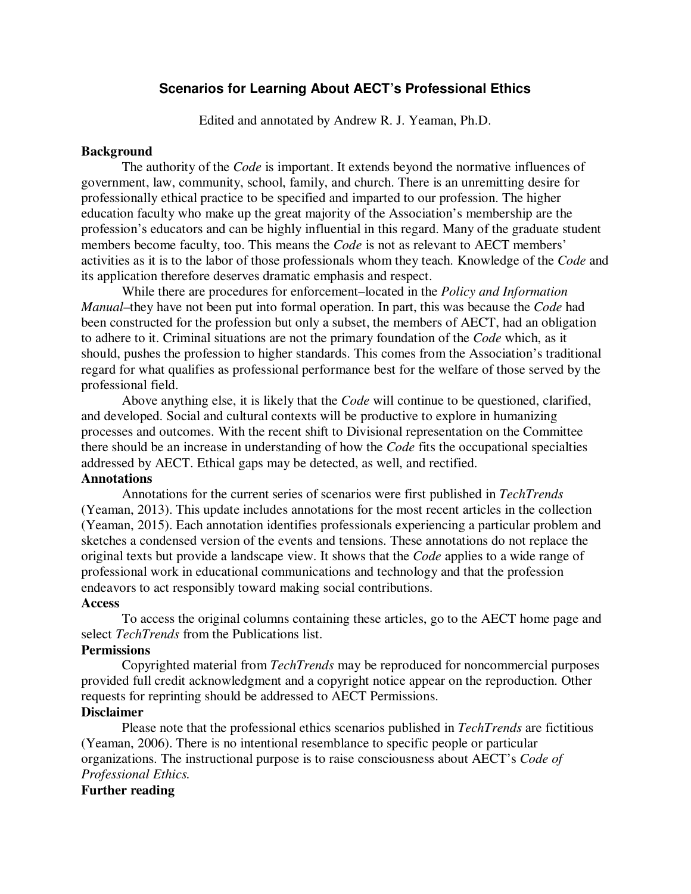# **Scenarios for Learning About AECT's Professional Ethics**

Edited and annotated by Andrew R. J. Yeaman, Ph.D.

#### **Background**

The authority of the *Code* is important. It extends beyond the normative influences of government, law, community, school, family, and church. There is an unremitting desire for professionally ethical practice to be specified and imparted to our profession. The higher education faculty who make up the great majority of the Association's membership are the profession's educators and can be highly influential in this regard. Many of the graduate student members become faculty, too. This means the *Code* is not as relevant to AECT members' activities as it is to the labor of those professionals whom they teach. Knowledge of the *Code* and its application therefore deserves dramatic emphasis and respect.

 While there are procedures for enforcement–located in the *Policy and Information Manual–*they have not been put into formal operation. In part, this was because the *Code* had been constructed for the profession but only a subset, the members of AECT, had an obligation to adhere to it. Criminal situations are not the primary foundation of the *Code* which, as it should, pushes the profession to higher standards. This comes from the Association's traditional regard for what qualifies as professional performance best for the welfare of those served by the professional field.

 Above anything else, it is likely that the *Code* will continue to be questioned, clarified, and developed. Social and cultural contexts will be productive to explore in humanizing processes and outcomes. With the recent shift to Divisional representation on the Committee there should be an increase in understanding of how the *Code* fits the occupational specialties addressed by AECT. Ethical gaps may be detected, as well, and rectified.

## **Annotations**

 Annotations for the current series of scenarios were first published in *TechTrends*  (Yeaman, 2013). This update includes annotations for the most recent articles in the collection (Yeaman, 2015). Each annotation identifies professionals experiencing a particular problem and sketches a condensed version of the events and tensions. These annotations do not replace the original texts but provide a landscape view. It shows that the *Code* applies to a wide range of professional work in educational communications and technology and that the profession endeavors to act responsibly toward making social contributions.

### **Access**

 To access the original columns containing these articles, go to the AECT home page and select *TechTrends* from the Publications list.

#### **Permissions**

 Copyrighted material from *TechTrends* may be reproduced for noncommercial purposes provided full credit acknowledgment and a copyright notice appear on the reproduction. Other requests for reprinting should be addressed to AECT Permissions.

#### **Disclaimer**

 Please note that the professional ethics scenarios published in *TechTrends* are fictitious (Yeaman, 2006). There is no intentional resemblance to specific people or particular organizations. The instructional purpose is to raise consciousness about AECT's *Code of Professional Ethics.*

## **Further reading**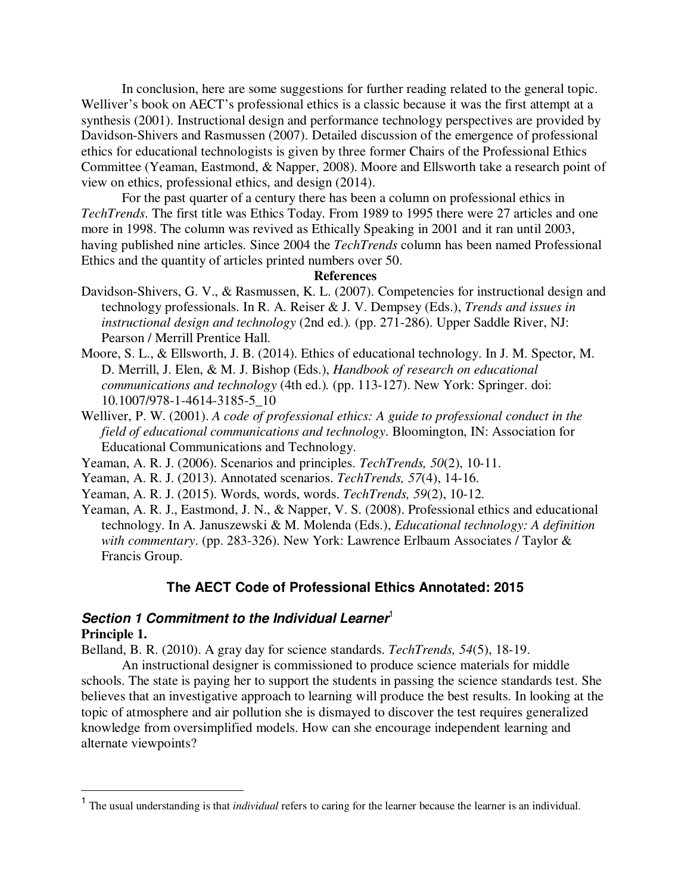In conclusion, here are some suggestions for further reading related to the general topic. Welliver's book on AECT's professional ethics is a classic because it was the first attempt at a synthesis (2001). Instructional design and performance technology perspectives are provided by Davidson-Shivers and Rasmussen (2007). Detailed discussion of the emergence of professional ethics for educational technologists is given by three former Chairs of the Professional Ethics Committee (Yeaman, Eastmond, & Napper, 2008). Moore and Ellsworth take a research point of view on ethics, professional ethics, and design (2014).

 For the past quarter of a century there has been a column on professional ethics in *TechTrends*. The first title was Ethics Today. From 1989 to 1995 there were 27 articles and one more in 1998. The column was revived as Ethically Speaking in 2001 and it ran until 2003, having published nine articles. Since 2004 the *TechTrends* column has been named Professional Ethics and the quantity of articles printed numbers over 50.

### **References**

- Davidson-Shivers, G. V., & Rasmussen, K. L. (2007). Competencies for instructional design and technology professionals. In R. A. Reiser & J. V. Dempsey (Eds.), *Trends and issues in instructional design and technology* (2nd ed.)*.* (pp. 271-286). Upper Saddle River, NJ: Pearson / Merrill Prentice Hall.
- Moore, S. L., & Ellsworth, J. B. (2014). Ethics of educational technology. In J. M. Spector, M. D. Merrill, J. Elen, & M. J. Bishop (Eds.), *Handbook of research on educational communications and technology* (4th ed.)*.* (pp. 113-127). New York: Springer. doi: 10.1007/978-1-4614-3185-5\_10
- Welliver, P. W. (2001). *A code of professional ethics: A guide to professional conduct in the field of educational communications and technology*. Bloomington, IN: Association for Educational Communications and Technology.
- Yeaman, A. R. J. (2006). Scenarios and principles. *TechTrends, 50*(2), 10-11.
- Yeaman, A. R. J. (2013). Annotated scenarios. *TechTrends, 57*(4), 14-16.
- Yeaman, A. R. J. (2015). Words, words, words. *TechTrends, 59*(2), 10-12.
- Yeaman, A. R. J., Eastmond, J. N., & Napper, V. S. (2008). Professional ethics and educational technology. In A. Januszewski & M. Molenda (Eds.), *Educational technology: A definition with commentary*. (pp. 283-326). New York: Lawrence Erlbaum Associates / Taylor & Francis Group.

### **The AECT Code of Professional Ethics Annotated: 2015**

## Section 1 Commitment to the Individual Learner<sup>1</sup> **Principle 1.**

 $\overline{a}$ 

Belland, B. R. (2010). A gray day for science standards. *TechTrends, 54*(5), 18-19.

 An instructional designer is commissioned to produce science materials for middle schools. The state is paying her to support the students in passing the science standards test. She believes that an investigative approach to learning will produce the best results. In looking at the topic of atmosphere and air pollution she is dismayed to discover the test requires generalized knowledge from oversimplified models. How can she encourage independent learning and alternate viewpoints?

<sup>&</sup>lt;sup>1</sup> The usual understanding is that *individual* refers to caring for the learner because the learner is an individual.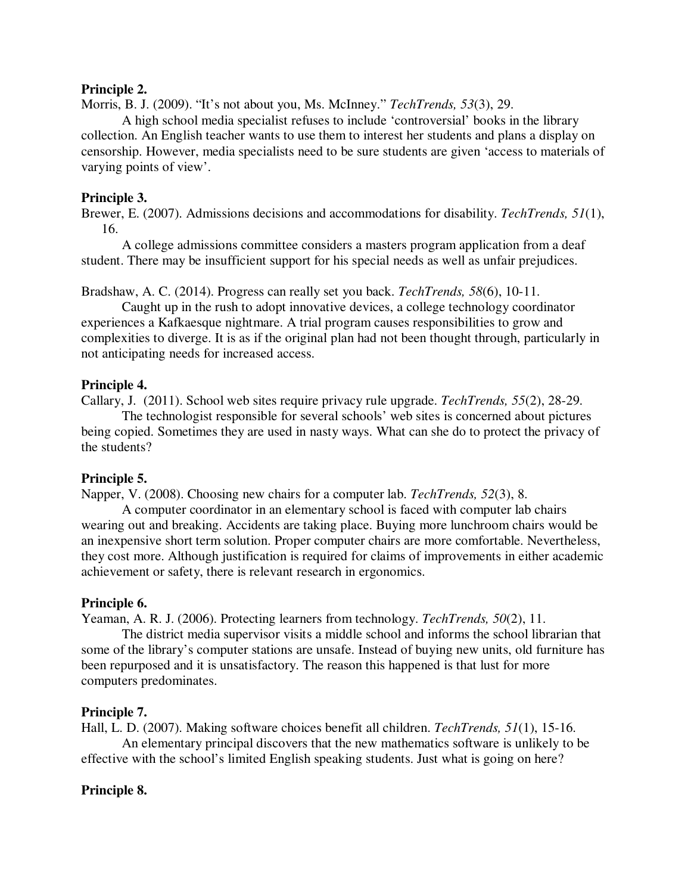## **Principle 2.**

Morris, B. J. (2009). "It's not about you, Ms. McInney." *TechTrends, 53*(3), 29.

 A high school media specialist refuses to include 'controversial' books in the library collection. An English teacher wants to use them to interest her students and plans a display on censorship. However, media specialists need to be sure students are given 'access to materials of varying points of view'.

## **Principle 3.**

Brewer, E. (2007). Admissions decisions and accommodations for disability. *TechTrends, 51*(1), 16.

 A college admissions committee considers a masters program application from a deaf student. There may be insufficient support for his special needs as well as unfair prejudices.

Bradshaw, A. C. (2014). Progress can really set you back. *TechTrends, 58*(6), 10-11.

 Caught up in the rush to adopt innovative devices, a college technology coordinator experiences a Kafkaesque nightmare. A trial program causes responsibilities to grow and complexities to diverge. It is as if the original plan had not been thought through, particularly in not anticipating needs for increased access.

## **Principle 4.**

Callary, J. (2011). School web sites require privacy rule upgrade. *TechTrends, 55*(2), 28-29.

 The technologist responsible for several schools' web sites is concerned about pictures being copied. Sometimes they are used in nasty ways. What can she do to protect the privacy of the students?

## **Principle 5.**

Napper, V. (2008). Choosing new chairs for a computer lab. *TechTrends, 52*(3), 8.

 A computer coordinator in an elementary school is faced with computer lab chairs wearing out and breaking. Accidents are taking place. Buying more lunchroom chairs would be an inexpensive short term solution. Proper computer chairs are more comfortable. Nevertheless, they cost more. Although justification is required for claims of improvements in either academic achievement or safety, there is relevant research in ergonomics.

## **Principle 6.**

Yeaman, A. R. J. (2006). Protecting learners from technology. *TechTrends, 50*(2), 11.

 The district media supervisor visits a middle school and informs the school librarian that some of the library's computer stations are unsafe. Instead of buying new units, old furniture has been repurposed and it is unsatisfactory. The reason this happened is that lust for more computers predominates.

### **Principle 7.**

Hall, L. D. (2007). Making software choices benefit all children. *TechTrends, 51*(1), 15-16. An elementary principal discovers that the new mathematics software is unlikely to be effective with the school's limited English speaking students. Just what is going on here?

## **Principle 8.**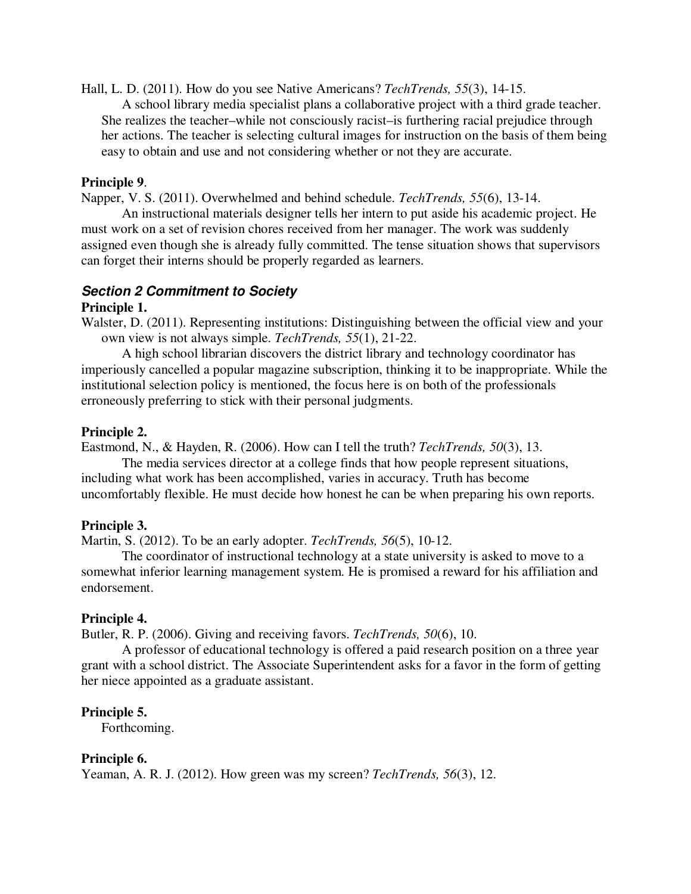Hall, L. D. (2011). How do you see Native Americans? *TechTrends, 55*(3), 14-15.

 A school library media specialist plans a collaborative project with a third grade teacher. She realizes the teacher–while not consciously racist–is furthering racial prejudice through her actions. The teacher is selecting cultural images for instruction on the basis of them being easy to obtain and use and not considering whether or not they are accurate.

## **Principle 9**.

Napper, V. S. (2011). Overwhelmed and behind schedule. *TechTrends, 55*(6), 13-14.

 An instructional materials designer tells her intern to put aside his academic project. He must work on a set of revision chores received from her manager. The work was suddenly assigned even though she is already fully committed. The tense situation shows that supervisors can forget their interns should be properly regarded as learners.

# **Section 2 Commitment to Society**

## **Principle 1.**

Walster, D. (2011). Representing institutions: Distinguishing between the official view and your own view is not always simple. *TechTrends, 55*(1), 21-22.

 A high school librarian discovers the district library and technology coordinator has imperiously cancelled a popular magazine subscription, thinking it to be inappropriate. While the institutional selection policy is mentioned, the focus here is on both of the professionals erroneously preferring to stick with their personal judgments.

## **Principle 2.**

Eastmond, N., & Hayden, R. (2006). How can I tell the truth? *TechTrends, 50*(3), 13.

 The media services director at a college finds that how people represent situations, including what work has been accomplished, varies in accuracy. Truth has become uncomfortably flexible. He must decide how honest he can be when preparing his own reports.

## **Principle 3.**

Martin, S. (2012). To be an early adopter. *TechTrends, 56*(5), 10-12.

 The coordinator of instructional technology at a state university is asked to move to a somewhat inferior learning management system. He is promised a reward for his affiliation and endorsement.

## **Principle 4.**

Butler, R. P. (2006). Giving and receiving favors. *TechTrends, 50*(6), 10.

 A professor of educational technology is offered a paid research position on a three year grant with a school district. The Associate Superintendent asks for a favor in the form of getting her niece appointed as a graduate assistant.

## **Principle 5.**

Forthcoming.

## **Principle 6.**

Yeaman, A. R. J. (2012). How green was my screen? *TechTrends, 56*(3), 12.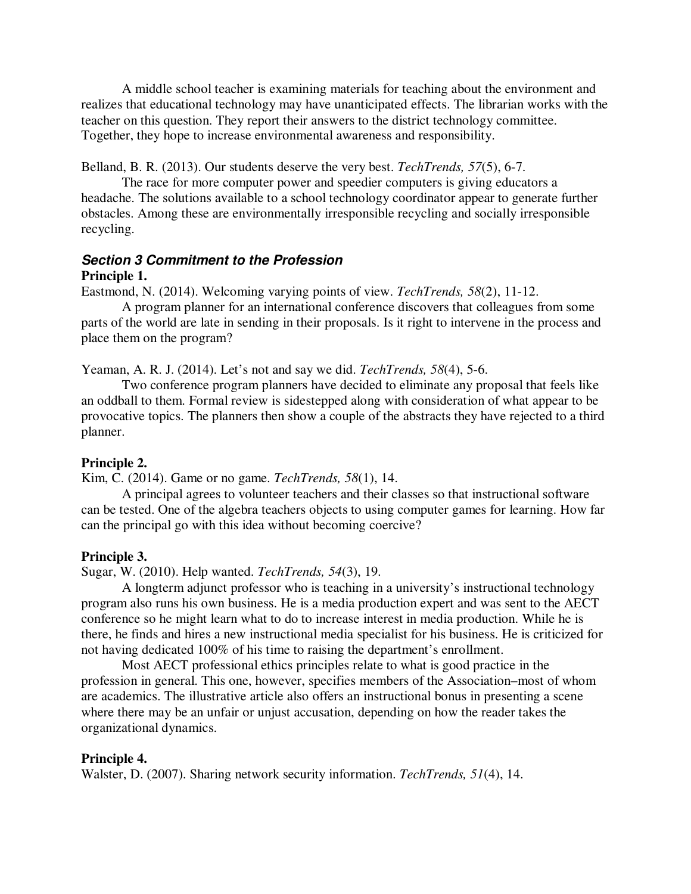A middle school teacher is examining materials for teaching about the environment and realizes that educational technology may have unanticipated effects. The librarian works with the teacher on this question. They report their answers to the district technology committee. Together, they hope to increase environmental awareness and responsibility.

Belland, B. R. (2013). Our students deserve the very best. *TechTrends, 57*(5), 6-7.

 The race for more computer power and speedier computers is giving educators a headache. The solutions available to a school technology coordinator appear to generate further obstacles. Among these are environmentally irresponsible recycling and socially irresponsible recycling.

# **Section 3 Commitment to the Profession**

## **Principle 1.**

Eastmond, N. (2014). Welcoming varying points of view. *TechTrends, 58*(2), 11-12.

 A program planner for an international conference discovers that colleagues from some parts of the world are late in sending in their proposals. Is it right to intervene in the process and place them on the program?

Yeaman, A. R. J. (2014). Let's not and say we did. *TechTrends, 58*(4), 5-6.

 Two conference program planners have decided to eliminate any proposal that feels like an oddball to them. Formal review is sidestepped along with consideration of what appear to be provocative topics. The planners then show a couple of the abstracts they have rejected to a third planner.

## **Principle 2.**

Kim, C. (2014). Game or no game. *TechTrends, 58*(1), 14.

 A principal agrees to volunteer teachers and their classes so that instructional software can be tested. One of the algebra teachers objects to using computer games for learning. How far can the principal go with this idea without becoming coercive?

## **Principle 3.**

Sugar, W. (2010). Help wanted. *TechTrends, 54*(3), 19.

 A longterm adjunct professor who is teaching in a university's instructional technology program also runs his own business. He is a media production expert and was sent to the AECT conference so he might learn what to do to increase interest in media production. While he is there, he finds and hires a new instructional media specialist for his business. He is criticized for not having dedicated 100% of his time to raising the department's enrollment.

 Most AECT professional ethics principles relate to what is good practice in the profession in general. This one, however, specifies members of the Association–most of whom are academics. The illustrative article also offers an instructional bonus in presenting a scene where there may be an unfair or unjust accusation, depending on how the reader takes the organizational dynamics.

### **Principle 4.**

Walster, D. (2007). Sharing network security information. *TechTrends, 51*(4), 14.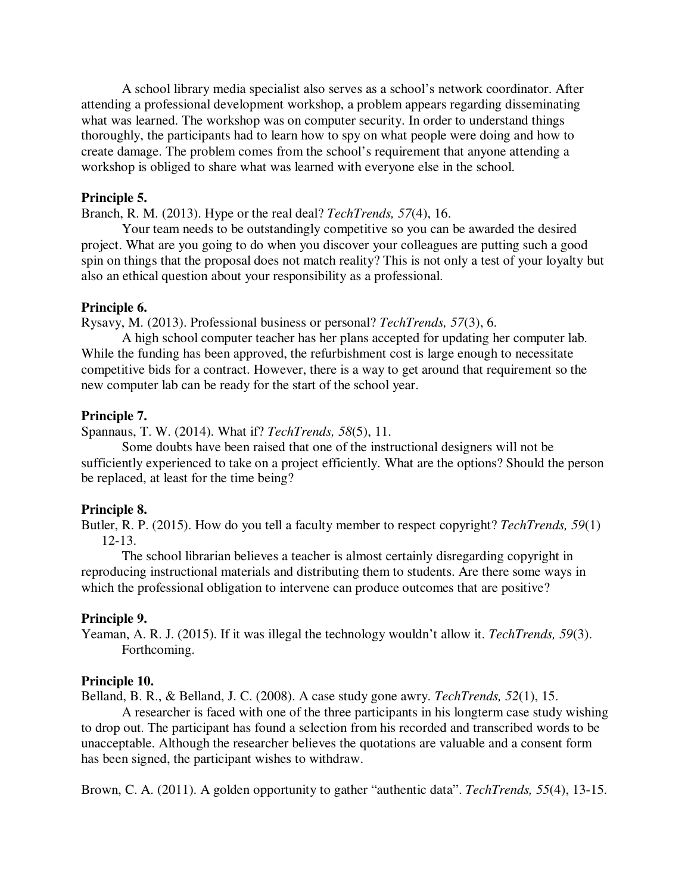A school library media specialist also serves as a school's network coordinator. After attending a professional development workshop, a problem appears regarding disseminating what was learned. The workshop was on computer security. In order to understand things thoroughly, the participants had to learn how to spy on what people were doing and how to create damage. The problem comes from the school's requirement that anyone attending a workshop is obliged to share what was learned with everyone else in the school.

## **Principle 5.**

Branch, R. M. (2013). Hype or the real deal? *TechTrends, 57*(4), 16.

 Your team needs to be outstandingly competitive so you can be awarded the desired project. What are you going to do when you discover your colleagues are putting such a good spin on things that the proposal does not match reality? This is not only a test of your loyalty but also an ethical question about your responsibility as a professional.

#### **Principle 6.**

Rysavy, M. (2013). Professional business or personal? *TechTrends, 57*(3), 6.

 A high school computer teacher has her plans accepted for updating her computer lab. While the funding has been approved, the refurbishment cost is large enough to necessitate competitive bids for a contract. However, there is a way to get around that requirement so the new computer lab can be ready for the start of the school year.

## **Principle 7.**

Spannaus, T. W. (2014). What if? *TechTrends, 58*(5), 11.

 Some doubts have been raised that one of the instructional designers will not be sufficiently experienced to take on a project efficiently. What are the options? Should the person be replaced, at least for the time being?

#### **Principle 8.**

Butler, R. P. (2015). How do you tell a faculty member to respect copyright? *TechTrends, 59*(1) 12-13.

 The school librarian believes a teacher is almost certainly disregarding copyright in reproducing instructional materials and distributing them to students. Are there some ways in which the professional obligation to intervene can produce outcomes that are positive?

#### **Principle 9.**

Yeaman, A. R. J. (2015). If it was illegal the technology wouldn't allow it. *TechTrends, 59*(3). Forthcoming.

#### **Principle 10.**

Belland, B. R., & Belland, J. C. (2008). A case study gone awry. *TechTrends, 52*(1), 15.

 A researcher is faced with one of the three participants in his longterm case study wishing to drop out. The participant has found a selection from his recorded and transcribed words to be unacceptable. Although the researcher believes the quotations are valuable and a consent form has been signed, the participant wishes to withdraw.

Brown, C. A. (2011). A golden opportunity to gather "authentic data". *TechTrends, 55*(4), 13-15.